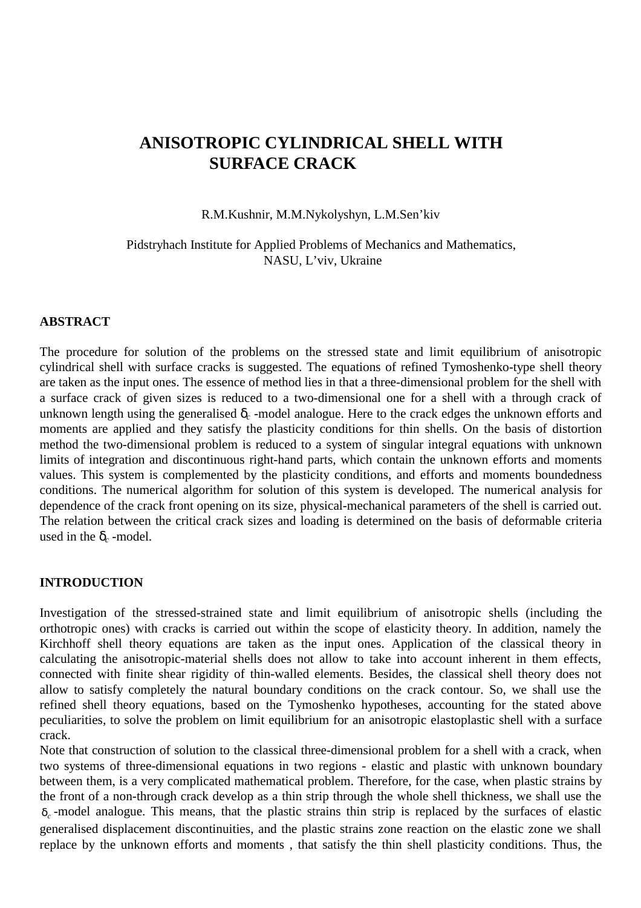# **ANISOTROPIC CYLINDRICAL SHELL WITH SURFACE CRACK**

R.M.Kushnir, M.M.Nykolyshyn, L.M.Sen'kiv

Pidstryhach Institute for Applied Problems of Mechanics and Mathematics, NASU, L'viv, Ukraine

## **ABSTRACT**

The procedure for solution of the problems on the stressed state and limit equilibrium of anisotropic cylindrical shell with surface cracks is suggested. The equations of refined Tymoshenko-type shell theory are taken as the input ones. The essence of method lies in that a three-dimensional problem for the shell with a surface crack of given sizes is reduced to a two-dimensional one for a shell with a through crack of unknown length using the generalised  $\delta_c$  -model analogue. Here to the crack edges the unknown efforts and moments are applied and they satisfy the plasticity conditions for thin shells. On the basis of distortion method the two-dimensional problem is reduced to a system of singular integral equations with unknown limits of integration and discontinuous right-hand parts, which contain the unknown efforts and moments values. This system is complemented by the plasticity conditions, and efforts and moments boundedness conditions. The numerical algorithm for solution of this system is developed. The numerical analysis for dependence of the crack front opening on its size, physical-mechanical parameters of the shell is carried out. The relation between the critical crack sizes and loading is determined on the basis of deformable criteria used in the  $\delta_c$  -model.

## **INTRODUCTION**

Investigation of the stressed-strained state and limit equilibrium of anisotropic shells (including the orthotropic ones) with cracks is carried out within the scope of elasticity theory. In addition, namely the Kirchhoff shell theory equations are taken as the input ones. Application of the classical theory in calculating the anisotropic-material shells does not allow to take into account inherent in them effects, connected with finite shear rigidity of thin-walled elements. Besides, the classical shell theory does not allow to satisfy completely the natural boundary conditions on the crack contour. So, we shall use the refined shell theory equations, based on the Tymoshenko hypotheses, accounting for the stated above peculiarities, to solve the problem on limit equilibrium for an anisotropic elastoplastic shell with a surface crack.

Note that construction of solution to the classical three-dimensional problem for a shell with a crack, when two systems of three-dimensional equations in two regions - elastic and plastic with unknown boundary between them, is a very complicated mathematical problem. Therefore, for the case, when plastic strains by the front of a non-through crack develop as a thin strip through the whole shell thickness, we shall use the δ*<sup>c</sup>* -model analogue. This means, that the plastic strains thin strip is replaced by the surfaces of elastic generalised displacement discontinuities, and the plastic strains zone reaction on the elastic zone we shall replace by the unknown efforts and moments , that satisfy the thin shell plasticity conditions. Thus, the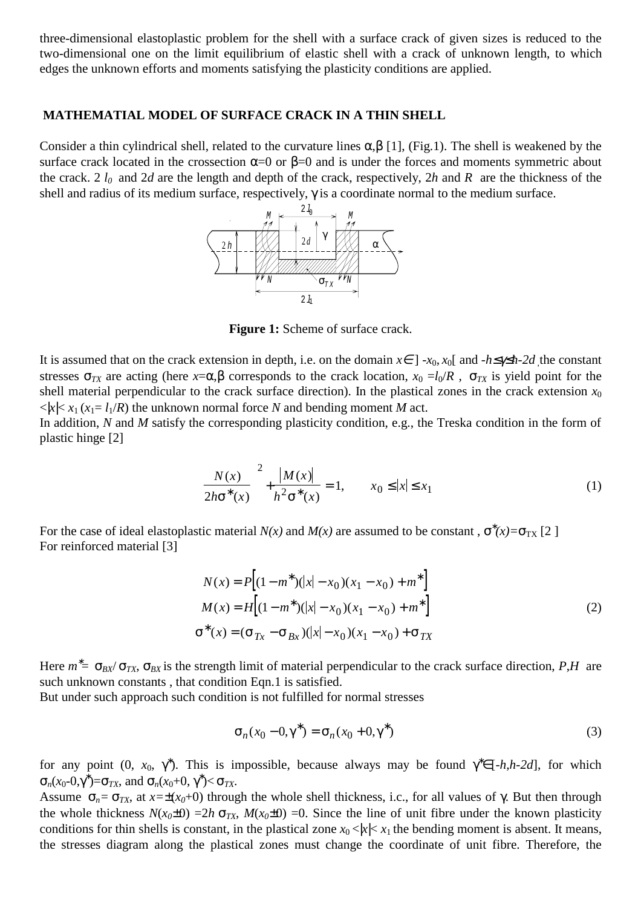three-dimensional elastoplastic problem for the shell with a surface crack of given sizes is reduced to the two-dimensional one on the limit equilibrium of elastic shell with a crack of unknown length, to which edges the unknown efforts and moments satisfying the plasticity conditions are applied.

#### **MATHEMATIAL MODEL OF SURFACE CRACK IN A THIN SHELL**

Consider a thin cylindrical shell, related to the curvature lines  $\alpha, \beta$  [1], (Fig.1). The shell is weakened by the surface crack located in the crossection  $\alpha=0$  or  $\beta=0$  and is under the forces and moments symmetric about the crack. 2 *l0* and 2*d* are the length and depth of the crack, respectively, 2*h* and *R* are the thickness of the shell and radius of its medium surface, respectively, γ is a coordinate normal to the medium surface.



Figure 1: Scheme of surface crack.

It is assumed that on the crack extension in depth, i.e. on the domain  $x \in ]-x_0, x_0[$  and  $-h \leq x \leq h-2d$  the constant stresses  $\sigma_{TX}$  are acting (here  $x=\alpha, \beta$  corresponds to the crack location,  $x_0 = l_0/R$ ,  $\sigma_{TX}$  is yield point for the shell material perpendicular to the crack surface direction). In the plastical zones in the crack extension  $x_0$  $\langle x \rangle \langle x_1 | x_2 = l_1 / R$  the unknown normal force *N* and bending moment *M* act.

In addition, *N* and *M* satisfy the corresponding plasticity condition, e.g., the Treska condition in the form of plastic hinge [2]

$$
\left(\frac{N(x)}{2h\sigma^*(x)}\right)^2 + \frac{|M(x)|}{h^2\sigma^*(x)} = 1, \qquad x_0 \le |x| \le x_1
$$
\n(1)

For the case of ideal elastoplastic material  $N(x)$  and  $M(x)$  are assumed to be constant,  $\sigma^*(x) = \sigma_{TX}$  [2 ] For reinforced material [3]

$$
N(x) = P[(1 - m^*)(|x| - x_0)(x_1 - x_0) + m^*]
$$
  
\n
$$
M(x) = H[(1 - m^*)(|x| - x_0)(x_1 - x_0) + m^*]
$$
  
\n
$$
\sigma^*(x) = (\sigma_{Tx} - \sigma_{Bx})(|x| - x_0)(x_1 - x_0) + \sigma_{TX}
$$
\n(2)

Here  $m^*$  = σ<sub>*BX</sub>*/ σ<sub>*TX*</sub>, σ<sub>*BX*</sub> is the strength limit of material perpendicular to the crack surface direction, *P*,*H* are</sub> such unknown constants , that condition Eqn.1 is satisfied.

But under such approach such condition is not fulfilled for normal stresses

$$
\sigma_n(x_0 - 0, \gamma^*) = \sigma_n(x_0 + 0, \gamma^*)
$$
\n(3)

for any point  $(0, x_0, \gamma^*)$ . This is impossible, because always may be found  $\gamma^* \in [-h, h-2d]$ , for which  $\sigma_n(x_0$ -0,γ<sup>\*</sup>)= $\sigma_{TX}$ , and  $\sigma_n(x_0+0, \gamma^*)< \sigma_{TX}$ .

Assume  $\sigma_n = \sigma_{TX}$ , at  $x = \pm (x_0 + 0)$  through the whole shell thickness, i.c., for all values of  $\gamma$ . But then through the whole thickness  $N(x_0 \pm 0) = 2h \sigma_{TX}$ ,  $M(x_0 \pm 0) = 0$ . Since the line of unit fibre under the known plasticity conditions for thin shells is constant, in the plastical zone  $x_0 \le |x| \le x_1$  the bending moment is absent. It means, the stresses diagram along the plastical zones must change the coordinate of unit fibre. Therefore, the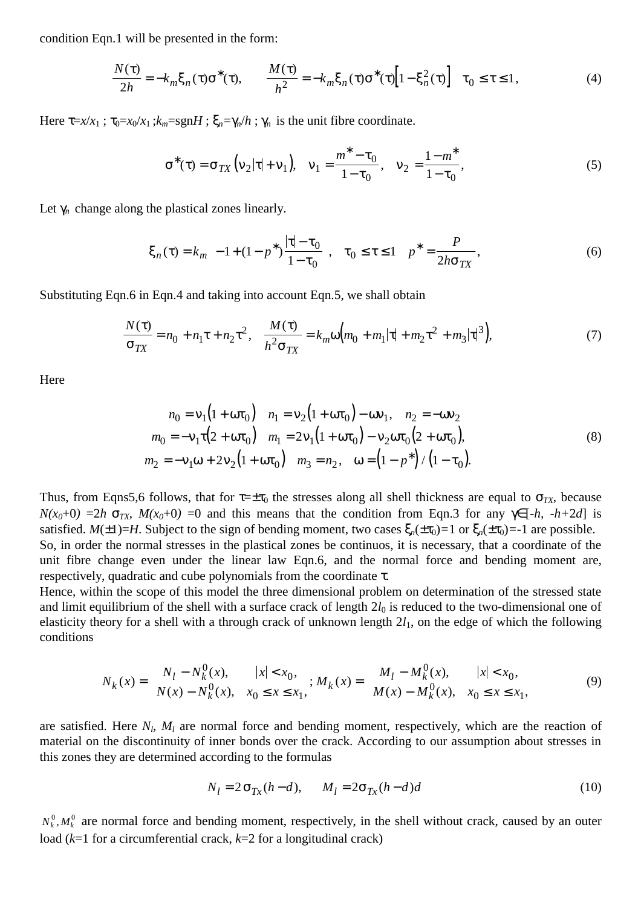condition Eqn.1 will be presented in the form:

$$
\frac{N(\tau)}{2h} = -k_m \xi_n(\tau) \sigma^*(\tau), \qquad \frac{M(\tau)}{h^2} = -k_m \xi_n(\tau) \sigma^*(\tau) \Big[ 1 - \xi_n^2(\tau) \Big] \quad \tau_0 \le \tau \le 1,
$$
\n(4)

Here  $\tau = x/x_1$ ;  $\tau_0 = x_0/x_1$ ;  $k_m = sgnH$ ;  $\xi_n = \gamma_n/h$ ;  $\gamma_n$  is the unit fibre coordinate.

$$
\sigma^*(\tau) = \sigma_{TX} \left( v_2 |\tau| + v_1 \right), \quad v_1 = \frac{m^* - \tau_0}{1 - \tau_0}, \quad v_2 = \frac{1 - m^*}{1 - \tau_0}, \tag{5}
$$

Let  $\gamma_n$  change along the plastical zones linearly.

$$
\xi_n(\tau) = k_m \left( -1 + (1 - p^*) \frac{|\tau| - \tau_0}{1 - \tau_0} \right), \quad \tau_0 \le \tau \le 1 \quad p^* = \frac{P}{2h\sigma_{TX}},\tag{6}
$$

Substituting Eqn.6 in Eqn.4 and taking into account Eqn.5, we shall obtain

$$
\frac{N(\tau)}{\sigma_{TX}} = n_0 + n_1 \tau + n_2 \tau^2, \quad \frac{M(\tau)}{h^2 \sigma_{TX}} = k_m \omega \Big( m_0 + m_1 |\tau| + m_2 \tau^2 + m_3 |\tau|^3 \Big), \tag{7}
$$

Here

$$
n_0 = v_1(1 + \omega \tau_0) \quad n_1 = v_2(1 + \omega \tau_0) - \omega v_1, \quad n_2 = -\omega v_2
$$
  
\n
$$
m_0 = -v_1 \tau (2 + \omega \tau_0) \quad m_1 = 2v_1(1 + \omega \tau_0) - v_2 \omega \tau_0 (2 + \omega \tau_0),
$$
  
\n
$$
m_2 = -v_1 \omega + 2v_2(1 + \omega \tau_0) \quad m_3 = n_2, \quad \omega = (1 - p^*) / (1 - \tau_0).
$$
\n(8)

Thus, from Eqns5,6 follows, that for  $\tau = \pm \tau_0$  the stresses along all shell thickness are equal to  $\sigma_{TX}$ , because  $N(x_0+0) = 2h \sigma_{TX}$ ,  $M(x_0+0) = 0$  and this means that the condition from Eqn.3 for any  $\gamma \in [-h, -h+2d]$  is satisfied. *M*( $\pm$ 1)=*H*. Subject to the sign of bending moment, two cases  $\xi_n(\pm\tau_0)=1$  or  $\xi_n(\pm\tau_0)=-1$  are possible. So, in order the normal stresses in the plastical zones be continuos, it is necessary, that a coordinate of the unit fibre change even under the linear law Eqn.6, and the normal force and bending moment are, respectively, quadratic and cube polynomials from the coordinate τ.

Hence, within the scope of this model the three dimensional problem on determination of the stressed state and limit equilibrium of the shell with a surface crack of length  $2l_0$  is reduced to the two-dimensional one of elasticity theory for a shell with a through crack of unknown length 2*l*1, on the edge of which the following conditions

$$
N_k(x) = \begin{cases} N_l - N_k^0(x), & |x| < x_0, \\ N(x) - N_k^0(x), & x_0 \le x \le x_1, \end{cases}; M_k(x) = \begin{cases} M_l - M_k^0(x), & |x| < x_0, \\ M(x) - M_k^0(x), & x_0 \le x \le x_1, \end{cases}
$$
(9)

are satisfied. Here  $N_l$ ,  $M_l$  are normal force and bending moment, respectively, which are the reaction of material on the discontinuity of inner bonds over the crack. According to our assumption about stresses in this zones they are determined according to the formulas

$$
N_l = 2\sigma_{Tx}(h-d), \qquad M_l = 2\sigma_{Tx}(h-d)d
$$
\n
$$
(10)
$$

 $N_k^0, M_k^0$  are normal force and bending moment, respectively, in the shell without crack, caused by an outer load (*k*=1 for a circumferential crack, *k*=2 for a longitudinal crack)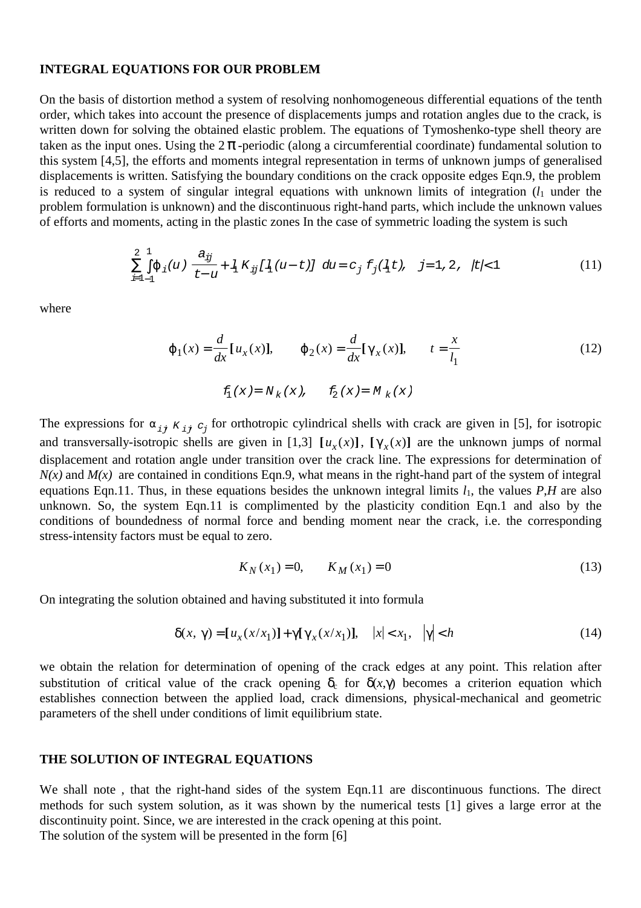#### **INTEGRAL EQUATIONS FOR OUR PROBLEM**

On the basis of distortion method a system of resolving nonhomogeneous differential equations of the tenth order, which takes into account the presence of displacements jumps and rotation angles due to the crack, is written down for solving the obtained elastic problem. The equations of Tymoshenko-type shell theory are taken as the input ones. Using the  $2\pi$ -periodic (along a circumferential coordinate) fundamental solution to this system [4,5], the efforts and moments integral representation in terms of unknown jumps of generalised displacements is written. Satisfying the boundary conditions on the crack opposite edges Eqn.9, the problem is reduced to a system of singular integral equations with unknown limits of integration  $(l_1)$  under the problem formulation is unknown) and the discontinuous right-hand parts, which include the unknown values of efforts and moments, acting in the plastic zones In the case of symmetric loading the system is such

$$
\sum_{i=1-1}^{2} \int_{0}^{1} \varphi_i(u) \left\{ \frac{a_{ij}}{t-u} + \frac{1}{4} K_{ij} [I_1(u-t)] \right\} du = c_j f_j(I_1(t), j=1,2, |t| < 1
$$
 (11)

where

$$
\varphi_1(x) = \frac{d}{dx} [u_x(x)], \qquad \varphi_2(x) = \frac{d}{dx} [\gamma_x(x)], \qquad t = \frac{x}{l_1}
$$
\n(12)

$$
f_{1}\left(x\right)=N_{k}\left(x\right),\quad\quad f_{2}\left(x\right)=M_{k}\left(x\right)
$$

The expressions for  $\alpha_{ij}$   $K_{ij}$   $C_j$  for orthotropic cylindrical shells with crack are given in [5], for isotropic and transversally-isotropic shells are given in [1,3]  $[u_x(x)]$ ,  $[\gamma_x(x)]$  are the unknown jumps of normal displacement and rotation angle under transition over the crack line. The expressions for determination of  $N(x)$  and  $M(x)$  are contained in conditions Eqn.9, what means in the right-hand part of the system of integral equations Eqn.11. Thus, in these equations besides the unknown integral limits  $l_1$ , the values  $P$ ,*H* are also unknown. So, the system Eqn.11 is complimented by the plasticity condition Eqn.1 and also by the conditions of boundedness of normal force and bending moment near the crack, i.e. the corresponding stress-intensity factors must be equal to zero.

$$
K_N(x_1) = 0, \qquad K_M(x_1) = 0 \tag{13}
$$

On integrating the solution obtained and having substituted it into formula

$$
\delta(x, \gamma) = [u_x(x/x_1)] + \gamma[\gamma_x(x/x_1)], \quad |x| < x_1, \quad |\gamma| < h \tag{14}
$$

we obtain the relation for determination of opening of the crack edges at any point. This relation after substitution of critical value of the crack opening  $\delta_c$  for  $\delta(x, \gamma)$  becomes a criterion equation which establishes connection between the applied load, crack dimensions, physical-mechanical and geometric parameters of the shell under conditions of limit equilibrium state.

#### **THE SOLUTION OF INTEGRAL EQUATIONS**

We shall note , that the right-hand sides of the system Eqn.11 are discontinuous functions. The direct methods for such system solution, as it was shown by the numerical tests [1] gives a large error at the discontinuity point. Since, we are interested in the crack opening at this point.

The solution of the system will be presented in the form [6]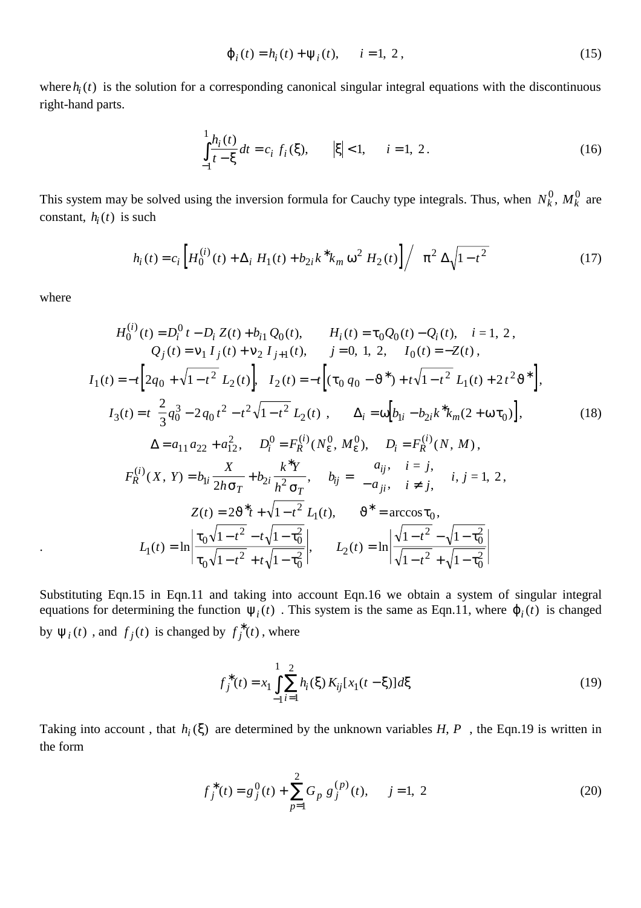$$
\varphi_i(t) = h_i(t) + \psi_i(t), \qquad i = 1, 2, \tag{15}
$$

where  $h_i(t)$  is the solution for a corresponding canonical singular integral equations with the discontinuous right-hand parts.

$$
\int_{-1}^{1} \frac{h_i(t)}{t - \xi} dt = c_i f_i(\xi), \qquad |\xi| < 1, \qquad i = 1, 2.
$$
 (16)

This system may be solved using the inversion formula for Cauchy type integrals. Thus, when  $N_k^0$ ,  $M_k^0$  are constant,  $h_i(t)$  is such

$$
h_i(t) = c_i \left[ H_0^{(i)}(t) + \Delta_i H_1(t) + b_{2i} k^* k_m \omega^2 H_2(t) \right] / \left( \pi^2 \Delta \sqrt{1 - t^2} \right)
$$
 (17)

where

$$
H_0^{(i)}(t) = D_i^0 t - D_i Z(t) + b_{i1} Q_0(t), \qquad H_i(t) = \tau_0 Q_0(t) - Q_i(t), \quad i = 1, 2,
$$
  
\n
$$
Q_j(t) = \nu_1 I_j(t) + \nu_2 I_{j+1}(t), \qquad j = 0, 1, 2, \quad I_0(t) = -Z(t),
$$
  
\n
$$
I_1(t) = -t \left[ 2q_0 + \sqrt{1 - t^2} L_2(t) \right], \quad I_2(t) = -t \left[ (\tau_0 q_0 - \vartheta^*) + t \sqrt{1 - t^2} L_1(t) + 2t^2 \vartheta^* \right],
$$
  
\n
$$
I_3(t) = t \left[ \frac{2}{3} q_0^3 - 2 q_0 t^2 - t^2 \sqrt{1 - t^2} L_2(t) \right], \qquad \Delta_i = \omega \left[ b_{1i} - b_{2i} k^* k_m (2 + \omega \tau_0) \right],
$$
  
\n
$$
\Delta = a_{11} a_{22} + a_{12}^2, \qquad D_i^0 = F_R^{(i)}(N_{\varepsilon}, M_{\varepsilon}), \qquad D_i = F_R^{(i)}(N, M),
$$
  
\n
$$
F_R^{(i)}(X, Y) = b_{1i} \frac{X}{2h \sigma_T} + b_{2i} \frac{k^* Y}{h^2 \sigma_T}, \qquad b_{ij} = \begin{cases} a_{ij}, & i = j, \\ -a_{ji}, & i \neq j, \end{cases} \qquad i, j = 1, 2,
$$
  
\n
$$
Z(t) = 2\vartheta^* t + \sqrt{1 - t^2} L_1(t), \qquad \vartheta^* = \arccos \tau_0,
$$
  
\n
$$
L_1(t) = \ln \left| \frac{\tau_0 \sqrt{1 - t^2} - t \sqrt{1 - \tau_0^2}}{\tau_0 \sqrt{1 - t^2} + t \sqrt{1 - \tau_0^2}} \right|, \qquad L_2(t) = \ln \left| \frac{\sqrt{1 - t^2} - \sqrt{1 - \tau_0^2}}{\sqrt{1 - t^2} + \sqrt{1 - \tau_0^2}} \right|
$$

Substituting Eqn.15 in Eqn.11 and taking into account Eqn.16 we obtain a system of singular integral equations for determining the function  $\psi_i(t)$ . This system is the same as Eqn.11, where  $\varphi_i(t)$  is changed by  $\Psi_i(t)$ , and  $f_j(t)$  is changed by  $f_j^*(t)$ , where

$$
f_j^*(t) = x_1 \int_{-1}^{1} \sum_{i=1}^{2} h_i(\xi) K_{ij}[x_1(t - \xi)] d\xi
$$
 (19)

Taking into account, that  $h_i(\xi)$  are determined by the unknown variables *H*, *P*, the Eqn.19 is written in the form

$$
f_j^*(t) = g_j^0(t) + \sum_{p=1}^2 G_p g_j^{(p)}(t), \quad j = 1, 2
$$
 (20)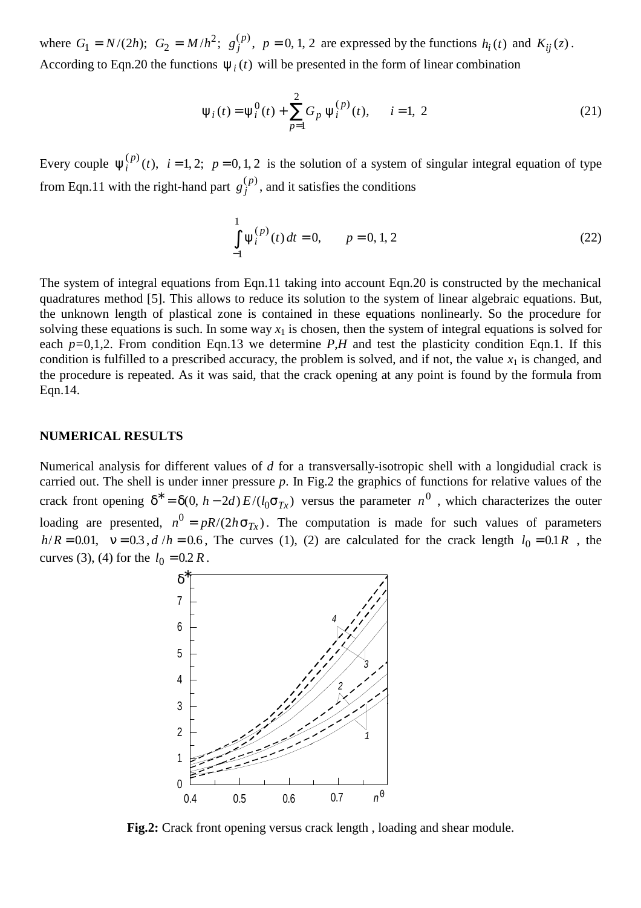where  $G_1 = N/(2h)$ ;  $G_2 = M/h^2$ ;  $g_j^{(p)}$ , p  $K_1 = N/(2h); G_2 = M/h^2; g_j^{(p)}, p = 0, 1, 2$  are expressed by the functions  $h_i(t)$  and  $K_{ij}(z)$ . According to Eqn.20 the functions  $\psi_i(t)$  will be presented in the form of linear combination

$$
\psi_i(t) = \psi_i^0(t) + \sum_{p=1}^{2} G_p \psi_i^{(p)}(t), \qquad i = 1, 2
$$
\n(21)

Every couple  $\psi_i^{(p)}(t)$ ,  $i = 1, 2; p = 0, 1, 2$  is the solution of a system of singular integral equation of type from Eqn.11 with the right-hand part  $g_j^{(p)}$ , and it satisfies the conditions

$$
\int_{-1}^{1} \psi_i^{(p)}(t) dt = 0, \qquad p = 0, 1, 2
$$
\n(22)

The system of integral equations from Eqn.11 taking into account Eqn.20 is constructed by the mechanical quadratures method [5]. This allows to reduce its solution to the system of linear algebraic equations. But, the unknown length of plastical zone is contained in these equations nonlinearly. So the procedure for solving these equations is such. In some way  $x_1$  is chosen, then the system of integral equations is solved for each *p=*0,1,2. From condition Eqn.13 we determine *P,H* and test the plasticity condition Eqn.1. If this condition is fulfilled to a prescribed accuracy, the problem is solved, and if not, the value  $x_1$  is changed, and the procedure is repeated. As it was said, that the crack opening at any point is found by the formula from Eqn.14.

## **NUMERICAL RESULTS**

Numerical analysis for different values of *d* for a transversally-isotropic shell with a longidudial crack is carried out. The shell is under inner pressure *p*. In Fig.2 the graphics of functions for relative values of the crack front opening  $\delta^* = \delta(0, h - 2d) E/(l_0 \sigma_{Tx})$  versus the parameter  $n^0$ , which characterizes the outer loading are presented,  $n^0 = pR/(2h\sigma_{Tx})$ . The computation is made for such values of parameters *h*/ $R = 0.01$ ,  $v = 0.3$ ,  $d/h = 0.6$ , The curves (1), (2) are calculated for the crack length  $l_0 = 0.1 R$ , the curves (3), (4) for the  $l_0 = 0.2 R$ .



**Fig.2:** Crack front opening versus crack length , loading and shear module.